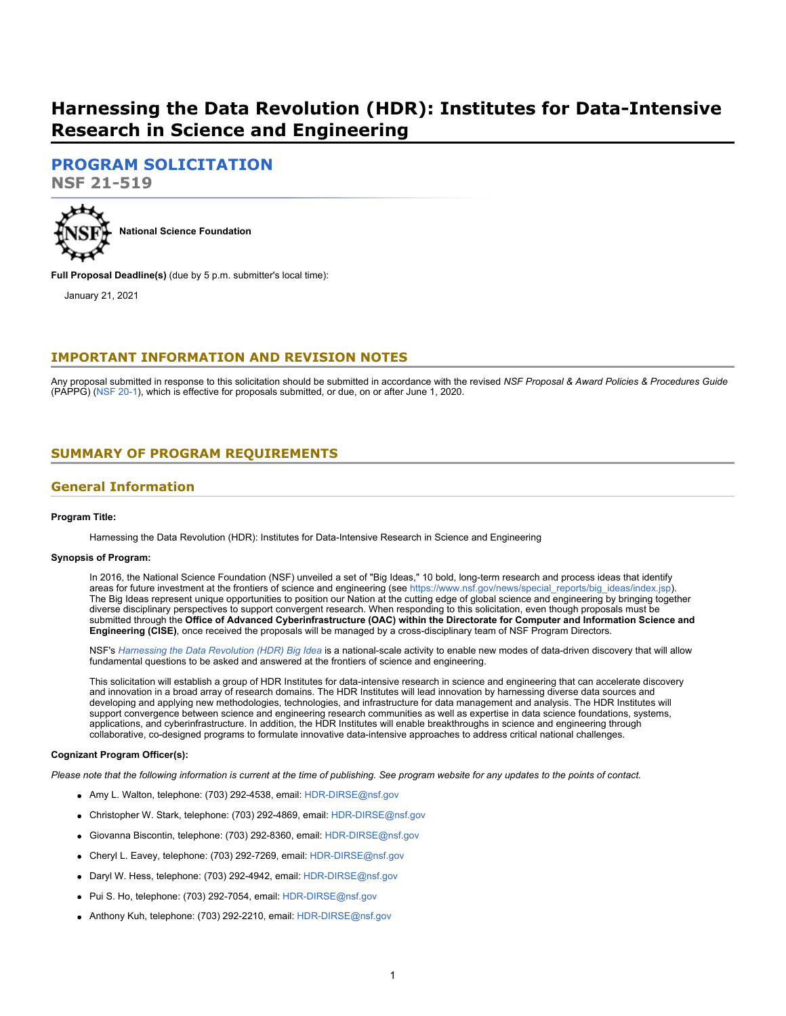# **Harnessing the Data Revolution (HDR): Institutes for Data-Intensive Research in Science and Engineering**

# **[PROGRAM SOLICITATION](#page-2-0)**

**NSF 21-519**



**Full Proposal Deadline(s)** (due by 5 p.m. submitter's local time):

January 21, 2021

# **IMPORTANT INFORMATION AND REVISION NOTES**

Any proposal submitted in response to this solicitation should be submitted in accordance with the revised *NSF Proposal & Award Policies & Procedures Guide* (PAPPG) [\(NSF 20-1](https://www.nsf.gov/publications/pub_summ.jsp?ods_key=nsf20001&org=NSF)), which is effective for proposals submitted, or due, on or after June 1, 2020.

# <span id="page-0-0"></span>**SUMMARY OF PROGRAM REQUIREMENTS**

### **General Information**

#### **Program Title:**

Harnessing the Data Revolution (HDR): Institutes for Data-Intensive Research in Science and Engineering

#### **Synopsis of Program:**

In 2016, the National Science Foundation (NSF) unveiled a set of "Big Ideas," 10 bold, long-term research and process ideas that identify areas for future investment at the frontiers of science and engineering (see https://www.nsf.gov/news/special reports/big\_ideas/index.jsp) The Big Ideas represent unique opportunities to position our Nation at the cutting edge of global science and engineering by bringing together diverse disciplinary perspectives to support convergent research. When responding to this solicitation, even though proposals must be submitted through the **Office of Advanced Cyberinfrastructure (OAC) within the Directorate for Computer and Information Science and Engineering (CISE)**, once received the proposals will be managed by a cross-disciplinary team of NSF Program Directors.

NSF's *[Harnessing the Data Revolution \(HDR\) Big Idea](https://www.nsf.gov/cise/harnessingdata/)* is a national-scale activity to enable new modes of data-driven discovery that will allow fundamental questions to be asked and answered at the frontiers of science and engineering.

This solicitation will establish a group of HDR Institutes for data-intensive research in science and engineering that can accelerate discovery and innovation in a broad array of research domains. The HDR Institutes will lead innovation by harnessing diverse data sources and developing and applying new methodologies, technologies, and infrastructure for data management and analysis. The HDR Institutes will support convergence between science and engineering research communities as well as expertise in data science foundations, systems, applications, and cyberinfrastructure. In addition, the HDR Institutes will enable breakthroughs in science and engineering through collaborative, co-designed programs to formulate innovative data-intensive approaches to address critical national challenges.

#### **Cognizant Program Officer(s):**

*Please note that the following information is current at the time of publishing. See program website for any updates to the points of contact.*

- Amy L. Walton, telephone: (703) 292-4538, email: [HDR-DIRSE@nsf.gov](mailto:HDR-DIRSE@nsf.gov)
- Christopher W. Stark, telephone: (703) 292-4869, email: [HDR-DIRSE@nsf.gov](mailto:HDR-DIRSE@nsf.gov)
- Giovanna Biscontin, telephone: (703) 292-8360, email: [HDR-DIRSE@nsf.gov](mailto:HDR-DIRSE@nsf.gov)
- Cheryl L. Eavey, telephone: (703) 292-7269, email: [HDR-DIRSE@nsf.gov](mailto:HDR-DIRSE@nsf.gov)
- Daryl W. Hess, telephone: (703) 292-4942, email: [HDR-DIRSE@nsf.gov](mailto:HDR-DIRSE@nsf.gov)
- Pui S. Ho, telephone: (703) 292-7054, email: [HDR-DIRSE@nsf.gov](mailto:HDR-DIRSE@nsf.gov)
- Anthony Kuh, telephone: (703) 292-2210, email: [HDR-DIRSE@nsf.gov](mailto:HDR-DIRSE@nsf.gov)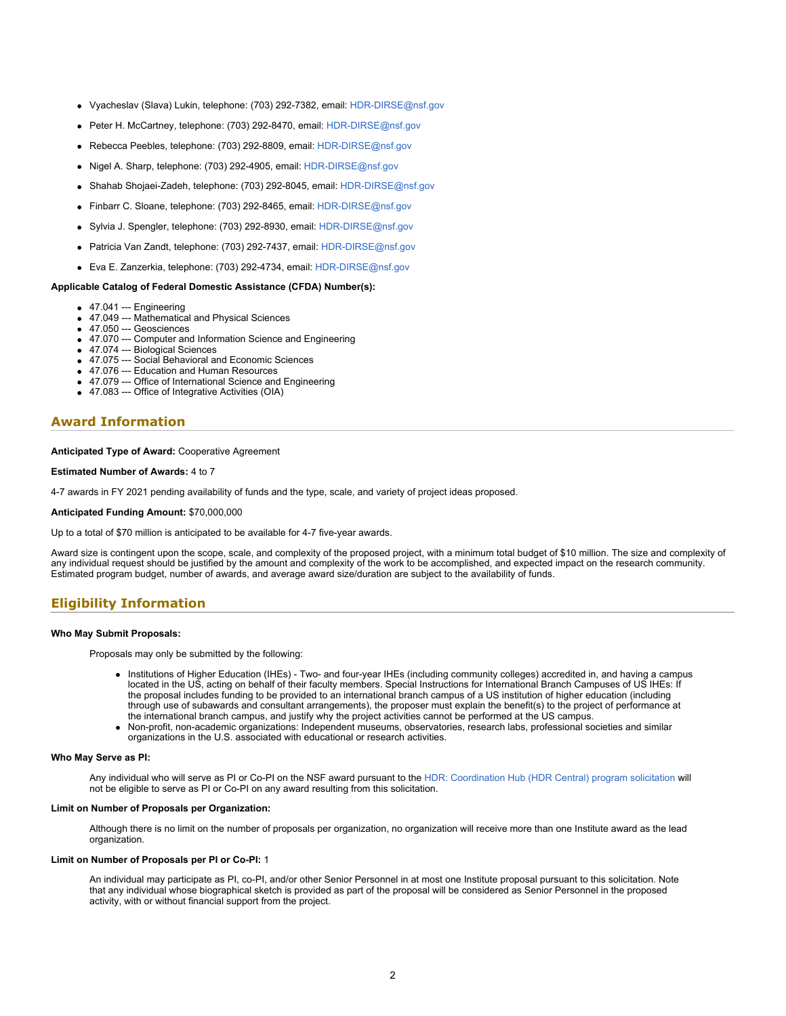- Vyacheslav (Slava) Lukin, telephone: (703) 292-7382, email: [HDR-DIRSE@nsf.gov](mailto:HDR-DIRSE@nsf.gov)
- Peter H. McCartney, telephone: (703) 292-8470, email: [HDR-DIRSE@nsf.gov](mailto:HDR-DIRSE@nsf.gov)
- Rebecca Peebles, telephone: (703) 292-8809, email: [HDR-DIRSE@nsf.gov](mailto:HDR-DIRSE@nsf.gov)
- Nigel A. Sharp, telephone: (703) 292-4905, email: [HDR-DIRSE@nsf.gov](mailto:HDR-DIRSE@nsf.gov)
- Shahab Shojaei-Zadeh, telephone: (703) 292-8045, email: [HDR-DIRSE@nsf.gov](mailto:HDR-DIRSE@nsf.gov)
- Finbarr C. Sloane, telephone: (703) 292-8465, email: [HDR-DIRSE@nsf.gov](mailto:HDR-DIRSE@nsf.gov)
- Sylvia J. Spengler, telephone: (703) 292-8930, email: [HDR-DIRSE@nsf.gov](mailto:HDR-DIRSE@nsf.gov)
- Patricia Van Zandt, telephone: (703) 292-7437, email: [HDR-DIRSE@nsf.gov](mailto:HDR-DIRSE@nsf.gov)
- Eva E. Zanzerkia, telephone: (703) 292-4734, email: [HDR-DIRSE@nsf.gov](mailto:HDR-DIRSE@nsf.gov)

#### **Applicable Catalog of Federal Domestic Assistance (CFDA) Number(s):**

- 47.041 --- Engineering
- 47.049 --- Mathematical and Physical Sciences
- 47.050 --- Geosciences
- 47.070 --- Computer and Information Science and Engineering
- 47.074 --- Biological Sciences
- 47.075 --- Social Behavioral and Economic Sciences
- 47.076 --- Education and Human Resources
- 47.079 --- Office of International Science and Engineering 47.083 --- Office of Integrative Activities (OIA)

# **Award Information**

#### **Anticipated Type of Award:** Cooperative Agreement

#### **Estimated Number of Awards:** 4 to 7

4-7 awards in FY 2021 pending availability of funds and the type, scale, and variety of project ideas proposed.

#### **Anticipated Funding Amount:** \$70,000,000

Up to a total of \$70 million is anticipated to be available for 4-7 five-year awards.

Award size is contingent upon the scope, scale, and complexity of the proposed project, with a minimum total budget of \$10 million. The size and complexity of any individual request should be justified by the amount and complexity of the work to be accomplished, and expected impact on the research community. Estimated program budget, number of awards, and average award size/duration are subject to the availability of funds.

### **Eligibility Information**

#### **Who May Submit Proposals:**

Proposals may only be submitted by the following:

- Institutions of Higher Education (IHEs) Two- and four-year IHEs (including community colleges) accredited in, and having a campus located in the US, acting on behalf of their faculty members. Special Instructions for International Branch Campuses of US IHEs: If the proposal includes funding to be provided to an international branch campus of a US institution of higher education (including through use of subawards and consultant arrangements), the proposer must explain the benefit(s) to the project of performance at the international branch campus, and justify why the project activities cannot be performed at the US campus.
- Non-profit, non-academic organizations: Independent museums, observatories, research labs, professional societies and similar organizations in the U.S. associated with educational or research activities.

#### **Who May Serve as PI:**

Any individual who will serve as PI or Co-PI on the NSF award pursuant to the [HDR: Coordination Hub \(HDR Central\) program solicitation](https://www.nsf.gov/funding/pgm_summ.jsp?pims_id=505820) will not be eligible to serve as PI or Co-PI on any award resulting from this solicitation.

#### **Limit on Number of Proposals per Organization:**

Although there is no limit on the number of proposals per organization, no organization will receive more than one Institute award as the lead organization.

#### **Limit on Number of Proposals per PI or Co-PI:** 1

An individual may participate as PI, co-PI, and/or other Senior Personnel in at most one Institute proposal pursuant to this solicitation. Note that any individual whose biographical sketch is provided as part of the proposal will be considered as Senior Personnel in the proposed activity, with or without financial support from the project.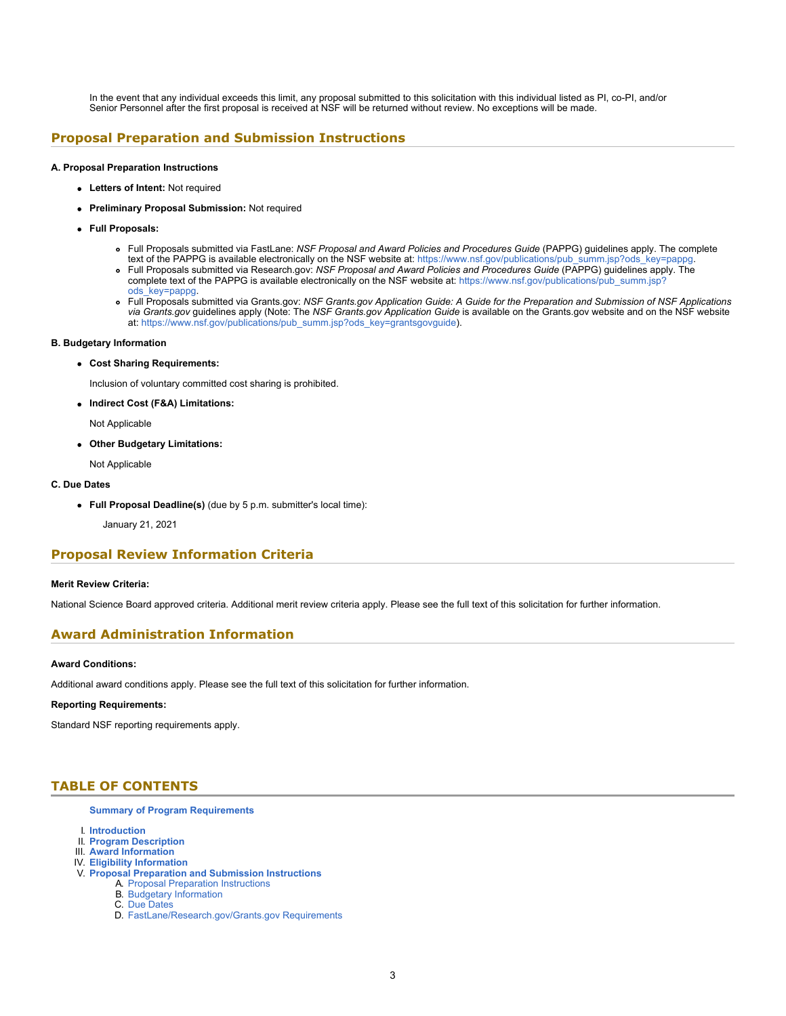In the event that any individual exceeds this limit, any proposal submitted to this solicitation with this individual listed as PI, co-PI, and/or Senior Personnel after the first proposal is received at NSF will be returned without review. No exceptions will be made.

### **Proposal Preparation and Submission Instructions**

#### **A. Proposal Preparation Instructions**

- **Letters of Intent:** Not required
- **Preliminary Proposal Submission:** Not required
- **Full Proposals:**
	- Full Proposals submitted via FastLane: *NSF Proposal and Award Policies and Procedures Guide* (PAPPG) guidelines apply. The complete
	- text of the PAPPG is available electronically on the NSF website at: [https://www.nsf.gov/publications/pub\\_summ.jsp?ods\\_key=pappg](https://www.nsf.gov/publications/pub_summ.jsp?ods_key=pappg). Full Proposals submitted via Research.gov: *NSF Proposal and Award Policies and Procedures Guide* (PAPPG) guidelines apply. The complete text of the PAPPG is available electronically on the NSF website at: [https://www.nsf.gov/publications/pub\\_summ.jsp?](https://www.nsf.gov/publications/pub_summ.jsp?ods_key=pappg)
	- [ods\\_key=pappg.](https://www.nsf.gov/publications/pub_summ.jsp?ods_key=pappg) Full Proposals submitted via Grants.gov: *NSF Grants.gov Application Guide: A Guide for the Preparation and Submission of NSF Applications*
	- *via Grants.gov* guidelines apply (Note: The *NSF Grants.gov Application Guide* is available on the Grants.gov website and on the NSF website at: [https://www.nsf.gov/publications/pub\\_summ.jsp?ods\\_key=grantsgovguide](https://www.nsf.gov/publications/pub_summ.jsp?ods_key=grantsgovguide)).

#### **B. Budgetary Information**

#### **Cost Sharing Requirements:**

Inclusion of voluntary committed cost sharing is prohibited.

**Indirect Cost (F&A) Limitations:**

Not Applicable

**Other Budgetary Limitations:**

Not Applicable

#### **C. Due Dates**

- **Full Proposal Deadline(s)** (due by 5 p.m. submitter's local time):
	- January 21, 2021

### **Proposal Review Information Criteria**

#### **Merit Review Criteria:**

National Science Board approved criteria. Additional merit review criteria apply. Please see the full text of this solicitation for further information.

### **Award Administration Information**

#### **Award Conditions:**

Additional award conditions apply. Please see the full text of this solicitation for further information.

#### **Reporting Requirements:**

Standard NSF reporting requirements apply.

# <span id="page-2-0"></span>**TABLE OF CONTENTS**

#### **[Summary of Program Requirements](#page-0-0)**

- I. **[Introduction](#page-3-0)**
- II. **[Program Description](#page-3-1)**
- III. **[Award Information](#page-4-0)**
- IV. **[Eligibility Information](#page-4-1)**
- V. **[Proposal Preparation and Submission Instructions](#page-5-0)** A. [Proposal Preparation Instructions](#page-5-0)
	- B. [Budgetary Information](#page-6-0)
		- C. [Due Dates](#page-6-1)
		- D. [FastLane/Research.gov/Grants.gov Requirements](#page-6-2)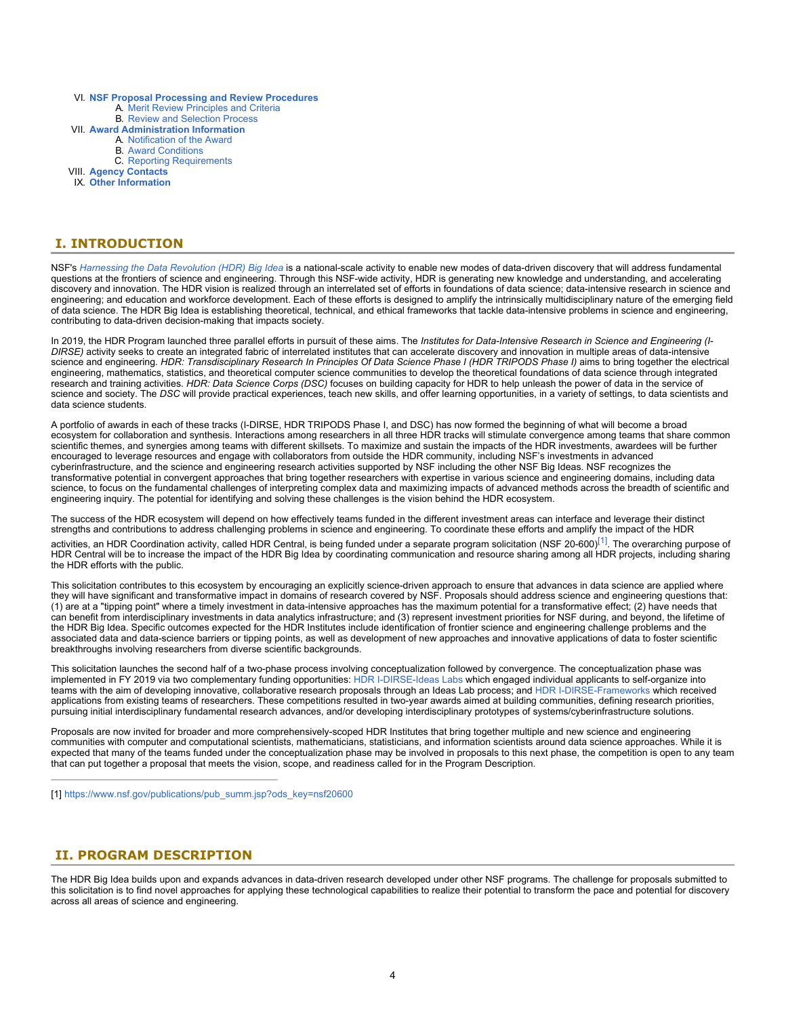- VI. **[NSF Proposal Processing and Review Procedures](#page-7-0)**
	- A. [Merit Review Principles and Criteria](#page-7-1)
	- B. [Review and Selection Process](#page-8-0)
- VII. **[Award Administration Information](#page-8-1)**
	- A. [Notification of the Award](#page-9-0)
	- B. [Award Conditions](#page-9-1)
	- C. [Reporting Requirements](#page-9-2)

VIII. **[Agency Contacts](#page-9-3)**

IX. **[Other Information](#page-10-0)**

# <span id="page-3-0"></span>**I. INTRODUCTION**

NSF's *[Harnessing the Data Revolution \(HDR\) Big Idea](https://www.nsf.gov/cise/harnessingdata/)* is a national-scale activity to enable new modes of data-driven discovery that will address fundamental questions at the frontiers of science and engineering. Through this NSF-wide activity, HDR is generating new knowledge and understanding, and accelerating discovery and innovation. The HDR vision is realized through an interrelated set of efforts in foundations of data science; data-intensive research in science and engineering; and education and workforce development. Each of these efforts is designed to amplify the intrinsically multidisciplinary nature of the emerging field of data science. The HDR Big Idea is establishing theoretical, technical, and ethical frameworks that tackle data-intensive problems in science and engineering, contributing to data-driven decision-making that impacts society.

In 2019, the HDR Program launched three parallel efforts in pursuit of these aims. The *Institutes for Data-Intensive Research in Science and Engineering (I-DIRSE)* activity seeks to create an integrated fabric of interrelated institutes that can accelerate discovery and innovation in multiple areas of data-intensive science and engineering. *HDR: Transdisciplinary Research In Principles Of Data Science Phase I (HDR TRIPODS Phase I)* aims to bring together the electrical engineering, mathematics, statistics, and theoretical computer science communities to develop the theoretical foundations of data science through integrated research and training activities. *HDR: Data Science Corps (DSC)* focuses on building capacity for HDR to help unleash the power of data in the service of science and society. The *DSC* will provide practical experiences, teach new skills, and offer learning opportunities, in a variety of settings, to data scientists and data science students.

A portfolio of awards in each of these tracks (I-DIRSE, HDR TRIPODS Phase I, and DSC) has now formed the beginning of what will become a broad ecosystem for collaboration and synthesis. Interactions among researchers in all three HDR tracks will stimulate convergence among teams that share common scientific themes, and synergies among teams with different skillsets. To maximize and sustain the impacts of the HDR investments, awardees will be further encouraged to leverage resources and engage with collaborators from outside the HDR community, including NSF's investments in advanced cyberinfrastructure, and the science and engineering research activities supported by NSF including the other NSF Big Ideas. NSF recognizes the transformative potential in convergent approaches that bring together researchers with expertise in various science and engineering domains, including data science, to focus on the fundamental challenges of interpreting complex data and maximizing impacts of advanced methods across the breadth of scientific and engineering inquiry. The potential for identifying and solving these challenges is the vision behind the HDR ecosystem.

The success of the HDR ecosystem will depend on how effectively teams funded in the different investment areas can interface and leverage their distinct strengths and contributions to address challenging problems in science and engineering. To coordinate these efforts and amplify the impact of the HDR

activities, an HDR Coordination activity, called HDR Central, is being funded under a separate program solicitation (NSF 20-600)<sup>[1]</sup>. The overarching purpose of HDR Central will be to increase the impact of the HDR Big Idea by coordinating communication and resource sharing among all HDR projects, including sharing the HDR efforts with the public.

This solicitation contributes to this ecosystem by encouraging an explicitly science-driven approach to ensure that advances in data science are applied where they will have significant and transformative impact in domains of research covered by NSF. Proposals should address science and engineering questions that: (1) are at a "tipping point" where a timely investment in data-intensive approaches has the maximum potential for a transformative effect; (2) have needs that can benefit from interdisciplinary investments in data analytics infrastructure; and (3) represent investment priorities for NSF during, and beyond, the lifetime of the HDR Big Idea. Specific outcomes expected for the HDR Institutes include identification of frontier science and engineering challenge problems and the associated data and data-science barriers or tipping points, as well as development of new approaches and innovative applications of data to foster scientific breakthroughs involving researchers from diverse scientific backgrounds.

This solicitation launches the second half of a two-phase process involving conceptualization followed by convergence. The conceptualization phase was implemented in FY 2019 via two complementary funding opportunities: [HDR I-DIRSE-Ideas Labs](https://www.nsf.gov/funding/pgm_summ.jsp?pims_id=505614) which engaged individual applicants to self-organize into teams with the aim of developing innovative, collaborative research proposals through an Ideas Lab process; and [HDR I-DIRSE-Frameworks](https://www.nsf.gov/cgi-bin/goodbye?https://www.google.com/search?client=firefox-b-1-e&sxsrf=ACYBGNSvcy98ge69xPNWwPZ9Srf2M2eqMg%3A1581006370144&ei=Ij48XqG6CIXM1QGitrSQDA&q=nsf+19-549&oq=nsf+19-549&gs_l=psy-ab.3..35i39.1980982.1984163..1986143...0.2..0.75.495.10......0....1..gws-wiz.......0i71j0i67j0i273j0i131j0j0i131i67j0i22i30.KEYzyITeZV8&ved=0ahUKEwih09HYq73nAhUFZjUKHSIbDcIQ4dUDCAo&uact=5) which received applications from existing teams of researchers. These competitions resulted in two-year awards aimed at building communities, defining research priorities, pursuing initial interdisciplinary fundamental research advances, and/or developing interdisciplinary prototypes of systems/cyberinfrastructure solutions.

Proposals are now invited for broader and more comprehensively-scoped HDR Institutes that bring together multiple and new science and engineering communities with computer and computational scientists, mathematicians, statisticians, and information scientists around data science approaches. While it is expected that many of the teams funded under the conceptualization phase may be involved in proposals to this next phase, the competition is open to any team that can put together a proposal that meets the vision, scope, and readiness called for in the Program Description.

<span id="page-3-2"></span>[1] [https://www.nsf.gov/publications/pub\\_summ.jsp?ods\\_key=nsf20600](https://www.nsf.gov/publications/pub_summ.jsp?ods_key=nsf20600)

### <span id="page-3-1"></span>**II. PROGRAM DESCRIPTION**

The HDR Big Idea builds upon and expands advances in data-driven research developed under other NSF programs. The challenge for proposals submitted to this solicitation is to find novel approaches for applying these technological capabilities to realize their potential to transform the pace and potential for discovery across all areas of science and engineering.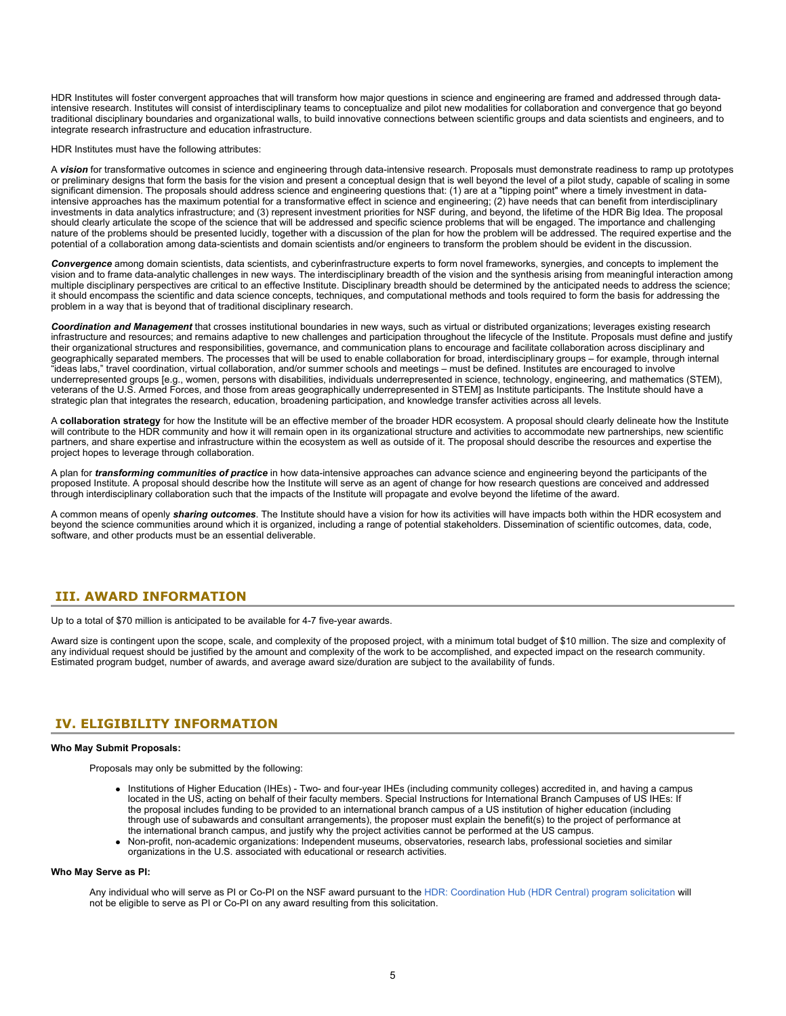HDR Institutes will foster convergent approaches that will transform how major questions in science and engineering are framed and addressed through dataintensive research. Institutes will consist of interdisciplinary teams to conceptualize and pilot new modalities for collaboration and convergence that go beyond traditional disciplinary boundaries and organizational walls, to build innovative connections between scientific groups and data scientists and engineers, and to integrate research infrastructure and education infrastructure.

HDR Institutes must have the following attributes:

A *vision* for transformative outcomes in science and engineering through data-intensive research. Proposals must demonstrate readiness to ramp up prototypes or preliminary designs that form the basis for the vision and present a conceptual design that is well beyond the level of a pilot study, capable of scaling in some significant dimension. The proposals should address science and engineering questions that: (1) are at a "tipping point" where a timely investment in dataintensive approaches has the maximum potential for a transformative effect in science and engineering; (2) have needs that can benefit from interdisciplinary investments in data analytics infrastructure; and (3) represent investment priorities for NSF during, and beyond, the lifetime of the HDR Big Idea. The proposal should clearly articulate the scope of the science that will be addressed and specific science problems that will be engaged. The importance and challenging nature of the problems should be presented lucidly, together with a discussion of the plan for how the problem will be addressed. The required expertise and the potential of a collaboration among data-scientists and domain scientists and/or engineers to transform the problem should be evident in the discussion.

*Convergence* among domain scientists, data scientists, and cyberinfrastructure experts to form novel frameworks, synergies, and concepts to implement the vision and to frame data-analytic challenges in new ways. The interdisciplinary breadth of the vision and the synthesis arising from meaningful interaction among multiple disciplinary perspectives are critical to an effective Institute. Disciplinary breadth should be determined by the anticipated needs to address the science; it should encompass the scientific and data science concepts, techniques, and computational methods and tools required to form the basis for addressing the problem in a way that is beyond that of traditional disciplinary research.

*Coordination and Management* that crosses institutional boundaries in new ways, such as virtual or distributed organizations; leverages existing research infrastructure and resources; and remains adaptive to new challenges and participation throughout the lifecycle of the Institute. Proposals must define and justify their organizational structures and responsibilities, governance, and communication plans to encourage and facilitate collaboration across disciplinary and geographically separated members. The processes that will be used to enable collaboration for broad, interdisciplinary groups – for example, through internal "ideas labs," travel coordination, virtual collaboration, and/or summer schools and meetings – must be defined. Institutes are encouraged to involve underrepresented groups [e.g., women, persons with disabilities, individuals underrepresented in science, technology, engineering, and mathematics (STEM), veterans of the U.S. Armed Forces, and those from areas geographically underrepresented in STEM] as Institute participants. The Institute should have a strategic plan that integrates the research, education, broadening participation, and knowledge transfer activities across all levels.

A **collaboration strategy** for how the Institute will be an effective member of the broader HDR ecosystem. A proposal should clearly delineate how the Institute will contribute to the HDR community and how it will remain open in its organizational structure and activities to accommodate new partnerships, new scientific partners, and share expertise and infrastructure within the ecosystem as well as outside of it. The proposal should describe the resources and expertise the project hopes to leverage through collaboration.

A plan for *transforming communities of practice* in how data-intensive approaches can advance science and engineering beyond the participants of the proposed Institute. A proposal should describe how the Institute will serve as an agent of change for how research questions are conceived and addressed through interdisciplinary collaboration such that the impacts of the Institute will propagate and evolve beyond the lifetime of the award.

A common means of openly *sharing outcomes*. The Institute should have a vision for how its activities will have impacts both within the HDR ecosystem and beyond the science communities around which it is organized, including a range of potential stakeholders. Dissemination of scientific outcomes, data, code, software, and other products must be an essential deliverable.

### <span id="page-4-0"></span>**III. AWARD INFORMATION**

Up to a total of \$70 million is anticipated to be available for 4-7 five-year awards.

Award size is contingent upon the scope, scale, and complexity of the proposed project, with a minimum total budget of \$10 million. The size and complexity of any individual request should be justified by the amount and complexity of the work to be accomplished, and expected impact on the research community. Estimated program budget, number of awards, and average award size/duration are subject to the availability of funds.

### <span id="page-4-1"></span>**IV. ELIGIBILITY INFORMATION**

#### **Who May Submit Proposals:**

Proposals may only be submitted by the following:

- Institutions of Higher Education (IHEs) Two- and four-year IHEs (including community colleges) accredited in, and having a campus located in the US, acting on behalf of their faculty members. Special Instructions for International Branch Campuses of US IHEs: If the proposal includes funding to be provided to an international branch campus of a US institution of higher education (including through use of subawards and consultant arrangements), the proposer must explain the benefit(s) to the project of performance at the international branch campus, and justify why the project activities cannot be performed at the US campus.
- Non-profit, non-academic organizations: Independent museums, observatories, research labs, professional societies and similar organizations in the U.S. associated with educational or research activities.

#### **Who May Serve as PI:**

Any individual who will serve as PI or Co-PI on the NSF award pursuant to the [HDR: Coordination Hub \(HDR Central\) program solicitation](https://www.nsf.gov/funding/pgm_summ.jsp?pims_id=505820) will not be eligible to serve as PI or Co-PI on any award resulting from this solicitation.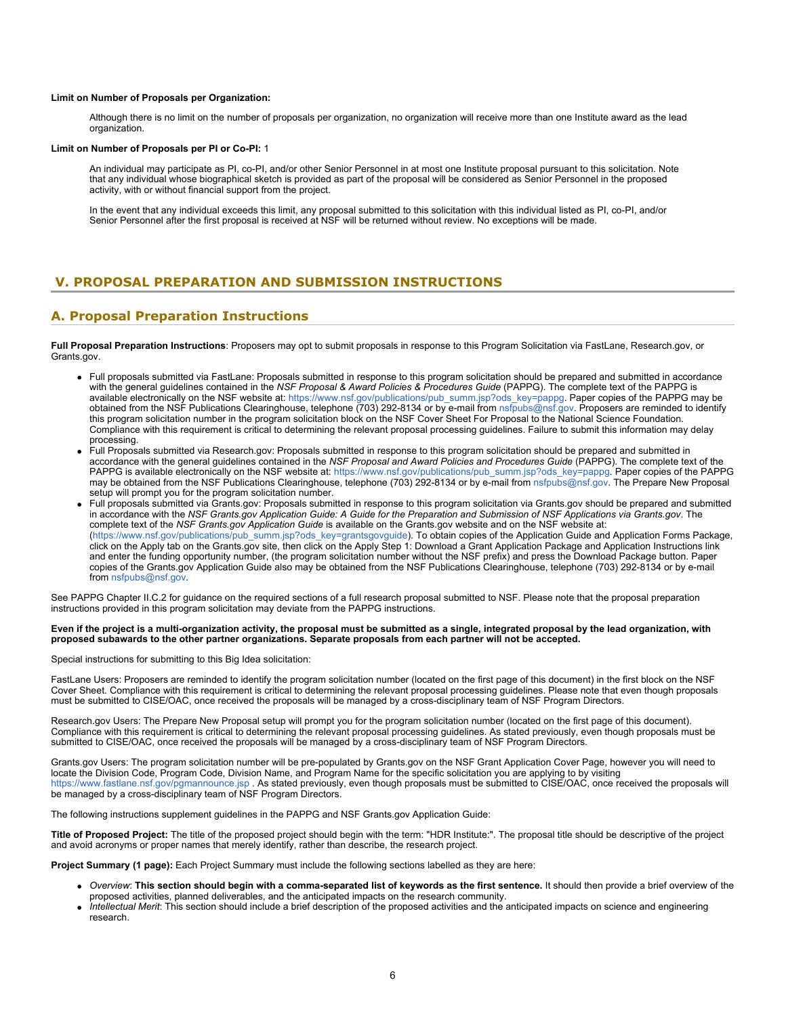#### **Limit on Number of Proposals per Organization:**

Although there is no limit on the number of proposals per organization, no organization will receive more than one Institute award as the lead organization.

#### **Limit on Number of Proposals per PI or Co-PI:** 1

An individual may participate as PI, co-PI, and/or other Senior Personnel in at most one Institute proposal pursuant to this solicitation. Note that any individual whose biographical sketch is provided as part of the proposal will be considered as Senior Personnel in the proposed activity, with or without financial support from the project.

In the event that any individual exceeds this limit, any proposal submitted to this solicitation with this individual listed as PI, co-PI, and/or Senior Personnel after the first proposal is received at NSF will be returned without review. No exceptions will be made.

# <span id="page-5-0"></span>**V. PROPOSAL PREPARATION AND SUBMISSION INSTRUCTIONS**

### **A. Proposal Preparation Instructions**

**Full Proposal Preparation Instructions**: Proposers may opt to submit proposals in response to this Program Solicitation via FastLane, Research.gov, or Grants.gov.

- Full proposals submitted via FastLane: Proposals submitted in response to this program solicitation should be prepared and submitted in accordance with the general guidelines contained in the *NSF Proposal & Award Policies & Procedures Guide* (PAPPG). The complete text of the PAPPG is available electronically on the NSF website at: [https://www.nsf.gov/publications/pub\\_summ.jsp?ods\\_key=pappg](https://www.nsf.gov/publications/pub_summ.jsp?ods_key=pappg). Paper copies of the PAPPG may be obtained from the NSF Publications Clearinghouse, telephone (703) 292-8134 or by e-mail from [nsfpubs@nsf.gov](mailto:nsfpubs@nsf.gov). Proposers are reminded to identify this program solicitation number in the program solicitation block on the NSF Cover Sheet For Proposal to the National Science Foundation. Compliance with this requirement is critical to determining the relevant proposal processing guidelines. Failure to submit this information may delay processing.
- Full Proposals submitted via Research.gov: Proposals submitted in response to this program solicitation should be prepared and submitted in accordance with the general guidelines contained in the *NSF Proposal and Award Policies and Procedures Guide* (PAPPG). The complete text of the PAPPG is available electronically on the NSF website at: [https://www.nsf.gov/publications/pub\\_summ.jsp?ods\\_key=pappg](https://www.nsf.gov/publications/pub_summ.jsp?ods_key=pappg). Paper copies of the PAPPG may be obtained from the NSF Publications Clearinghouse, telephone (703) 292-8134 or by e-mail from [nsfpubs@nsf.gov.](mailto:nsfpubs@nsf.gov) The Prepare New Proposal setup will prompt you for the program solicitation number.
- Full proposals submitted via Grants.gov: Proposals submitted in response to this program solicitation via Grants.gov should be prepared and submitted in accordance with the *NSF Grants.gov Application Guide: A Guide for the Preparation and Submission of NSF Applications via Grants.gov*. The complete text of the *NSF Grants.gov Application Guide* is available on the Grants.gov website and on the NSF website at: [\(https://www.nsf.gov/publications/pub\\_summ.jsp?ods\\_key=grantsgovguide](https://www.nsf.gov/publications/pub_summ.jsp?ods_key=grantsgovguide)). To obtain copies of the Application Guide and Application Forms Package, click on the Apply tab on the Grants.gov site, then click on the Apply Step 1: Download a Grant Application Package and Application Instructions link and enter the funding opportunity number, (the program solicitation number without the NSF prefix) and press the Download Package button. Paper copies of the Grants.gov Application Guide also may be obtained from the NSF Publications Clearinghouse, telephone (703) 292-8134 or by e-mail from [nsfpubs@nsf.gov](mailto:nsfpubs@nsf.gov).

See PAPPG Chapter II.C.2 for guidance on the required sections of a full research proposal submitted to NSF. Please note that the proposal preparation instructions provided in this program solicitation may deviate from the PAPPG instructions.

#### **Even if the project is a multi-organization activity, the proposal must be submitted as a single, integrated proposal by the lead organization, with proposed subawards to the other partner organizations. Separate proposals from each partner will not be accepted.**

Special instructions for submitting to this Big Idea solicitation:

FastLane Users: Proposers are reminded to identify the program solicitation number (located on the first page of this document) in the first block on the NSF Cover Sheet. Compliance with this requirement is critical to determining the relevant proposal processing guidelines. Please note that even though proposals must be submitted to CISE/OAC, once received the proposals will be managed by a cross-disciplinary team of NSF Program Directors.

Research.gov Users: The Prepare New Proposal setup will prompt you for the program solicitation number (located on the first page of this document). Compliance with this requirement is critical to determining the relevant proposal processing guidelines. As stated previously, even though proposals must be submitted to CISE/OAC, once received the proposals will be managed by a cross-disciplinary team of NSF Program Directors.

Grants.gov Users: The program solicitation number will be pre-populated by Grants.gov on the NSF Grant Application Cover Page, however you will need to locate the Division Code, Program Code, Division Name, and Program Name for the specific solicitation you are applying to by visiting [https://www.fastlane.nsf.gov/pgmannounce.jsp .](https://www.fastlane.nsf.gov/pgmannounce.jsp) As stated previously, even though proposals must be submitted to CISE/OAC, once received the proposals will be managed by a cross-disciplinary team of NSF Program Directors.

The following instructions supplement guidelines in the PAPPG and NSF Grants.gov Application Guide:

**Title of Proposed Project:** The title of the proposed project should begin with the term: "HDR Institute:". The proposal title should be descriptive of the project and avoid acronyms or proper names that merely identify, rather than describe, the research project.

**Project Summary (1 page):** Each Project Summary must include the following sections labelled as they are here:

- *Overview*: **This section should begin with a comma-separated list of keywords as the first sentence.** It should then provide a brief overview of the proposed activities, planned deliverables, and the anticipated impacts on the research community.
- *Intellectual Merit*: This section should include a brief description of the proposed activities and the anticipated impacts on science and engineering research.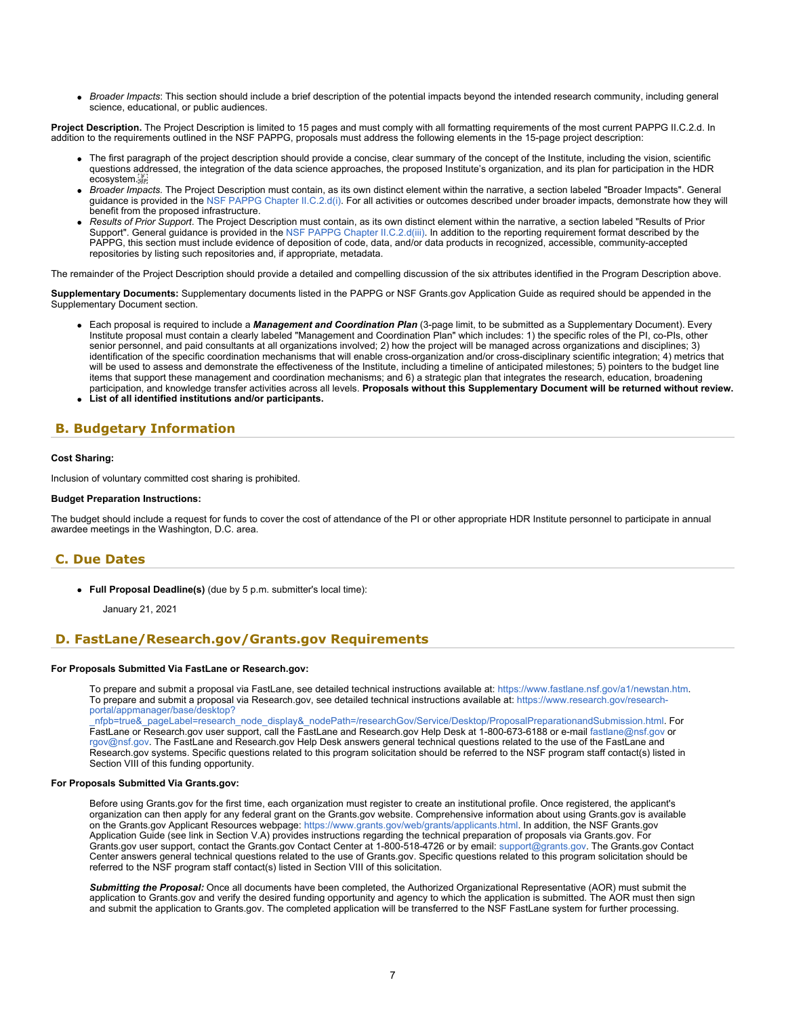*Broader Impacts*: This section should include a brief description of the potential impacts beyond the intended research community, including general science, educational, or public audiences.

Project Description. The Project Description is limited to 15 pages and must comply with all formatting requirements of the most current PAPPG II.C.2.d. In addition to the requirements outlined in the NSF PAPPG, proposals must address the following elements in the 15-page project description:

- The first paragraph of the project description should provide a concise, clear summary of the concept of the Institute, including the vision, scientific questions addressed, the integration of the data science approaches, the proposed Institute's organization, and its plan for participation in the HDR ecosystem.
- *Broader Impacts.* The Project Description must contain, as its own distinct element within the narrative, a section labeled "Broader Impacts". General guidance is provided in the [NSF PAPPG Chapter II.C.2.d\(i\)](https://nsf.gov/publications/pub_summ.jsp?ods_key=pappg). For all activities or outcomes described under broader impacts, demonstrate how they will benefit from the proposed infrastructure.
- *Results of Prior Support*. The Project Description must contain, as its own distinct element within the narrative, a section labeled "Results of Prior Support". General guidance is provided in the [NSF PAPPG Chapter II.C.2.d\(iii\)](https://nsf.gov/publications/pub_summ.jsp?ods_key=pappg). In addition to the reporting requirement format described by the PAPPG, this section must include evidence of deposition of code, data, and/or data products in recognized, accessible, community-accepted repositories by listing such repositories and, if appropriate, metadata.

The remainder of the Project Description should provide a detailed and compelling discussion of the six attributes identified in the Program Description above.

**Supplementary Documents:** Supplementary documents listed in the PAPPG or NSF Grants.gov Application Guide as required should be appended in the Supplementary Document section.

- Each proposal is required to include a *Management and Coordination Plan* (3-page limit, to be submitted as a Supplementary Document). Every Institute proposal must contain a clearly labeled "Management and Coordination Plan" which includes: 1) the specific roles of the PI, co-PIs, other senior personnel, and paid consultants at all organizations involved; 2) how the project will be managed across organizations and disciplines; 3) identification of the specific coordination mechanisms that will enable cross-organization and/or cross-disciplinary scientific integration; 4) metrics that will be used to assess and demonstrate the effectiveness of the Institute, including a timeline of anticipated milestones; 5) pointers to the budget line items that support these management and coordination mechanisms; and 6) a strategic plan that integrates the research, education, broadening participation, and knowledge transfer activities across all levels. **Proposals without this Supplementary Document will be returned without review.**
- **List of all identified institutions and/or participants.**

# <span id="page-6-0"></span>**B. Budgetary Information**

#### **Cost Sharing:**

Inclusion of voluntary committed cost sharing is prohibited.

#### **Budget Preparation Instructions:**

The budget should include a request for funds to cover the cost of attendance of the PI or other appropriate HDR Institute personnel to participate in annual awardee meetings in the Washington, D.C. area.

### <span id="page-6-1"></span>**C. Due Dates**

**Full Proposal Deadline(s)** (due by 5 p.m. submitter's local time):

January 21, 2021

### <span id="page-6-2"></span>**D. FastLane/Research.gov/Grants.gov Requirements**

#### **For Proposals Submitted Via FastLane or Research.gov:**

To prepare and submit a proposal via FastLane, see detailed technical instructions available at: <https://www.fastlane.nsf.gov/a1/newstan.htm>. To prepare and submit a proposal via Research.gov, see detailed technical instructions available at: [https://www.research.gov/research](https://www.research.gov/research-portal/appmanager/base/desktop?_nfpb=true&_pageLabel=research_node_display&_nodePath=/researchGov/Service/Desktop/ProposalPreparationandSubmission.html)[portal/appmanager/base/desktop?](https://www.research.gov/research-portal/appmanager/base/desktop?_nfpb=true&_pageLabel=research_node_display&_nodePath=/researchGov/Service/Desktop/ProposalPreparationandSubmission.html)

[\\_nfpb=true&\\_pageLabel=research\\_node\\_display&\\_nodePath=/researchGov/Service/Desktop/ProposalPreparationandSubmission.html](https://www.research.gov/research-portal/appmanager/base/desktop?_nfpb=true&_pageLabel=research_node_display&_nodePath=/researchGov/Service/Desktop/ProposalPreparationandSubmission.html). For FastLane or Research.gov user support, call the FastLane and Research.gov Help Desk at 1-800-673-6188 or e-mail [fastlane@nsf.gov](mailto:fastlane@nsf.gov) or [rgov@nsf.gov](mailto:rgov@nsf.gov). The FastLane and Research.gov Help Desk answers general technical questions related to the use of the FastLane and Research.gov systems. Specific questions related to this program solicitation should be referred to the NSF program staff contact(s) listed in Section VIII of this funding opportunity.

#### **For Proposals Submitted Via Grants.gov:**

Before using Grants.gov for the first time, each organization must register to create an institutional profile. Once registered, the applicant's organization can then apply for any federal grant on the Grants.gov website. Comprehensive information about using Grants.gov is available on the Grants.gov Applicant Resources webpage:<https://www.grants.gov/web/grants/applicants.html>. In addition, the NSF Grants.gov Application Guide (see link in Section V.A) provides instructions regarding the technical preparation of proposals via Grants.gov. For Grants.gov user support, contact the Grants.gov Contact Center at 1-800-518-4726 or by email: [support@grants.gov.](mailto:support@grants.gov) The Grants.gov Contact Center answers general technical questions related to the use of Grants.gov. Specific questions related to this program solicitation should be referred to the NSF program staff contact(s) listed in Section VIII of this solicitation.

*Submitting the Proposal:* Once all documents have been completed, the Authorized Organizational Representative (AOR) must submit the application to Grants.gov and verify the desired funding opportunity and agency to which the application is submitted. The AOR must then sign and submit the application to Grants.gov. The completed application will be transferred to the NSF FastLane system for further processing.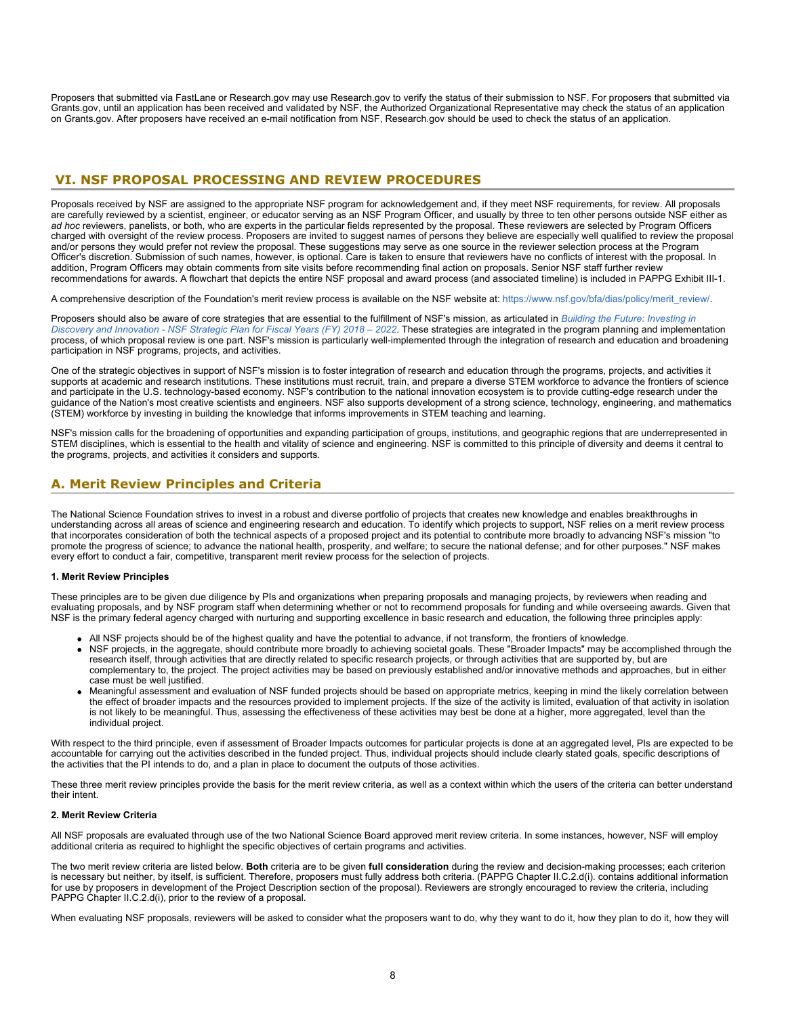Proposers that submitted via FastLane or Research.gov may use Research.gov to verify the status of their submission to NSF. For proposers that submitted via Grants.gov, until an application has been received and validated by NSF, the Authorized Organizational Representative may check the status of an application on Grants.gov. After proposers have received an e-mail notification from NSF, Research.gov should be used to check the status of an application.

### <span id="page-7-0"></span> **VI. NSF PROPOSAL PROCESSING AND REVIEW PROCEDURES**

Proposals received by NSF are assigned to the appropriate NSF program for acknowledgement and, if they meet NSF requirements, for review. All proposals are carefully reviewed by a scientist, engineer, or educator serving as an NSF Program Officer, and usually by three to ten other persons outside NSF either as *ad hoc* reviewers, panelists, or both, who are experts in the particular fields represented by the proposal. These reviewers are selected by Program Officers charged with oversight of the review process. Proposers are invited to suggest names of persons they believe are especially well qualified to review the proposal and/or persons they would prefer not review the proposal. These suggestions may serve as one source in the reviewer selection process at the Program Officer's discretion. Submission of such names, however, is optional. Care is taken to ensure that reviewers have no conflicts of interest with the proposal. In addition, Program Officers may obtain comments from site visits before recommending final action on proposals. Senior NSF staff further review recommendations for awards. A flowchart that depicts the entire NSF proposal and award process (and associated timeline) is included in PAPPG Exhibit III-1.

A comprehensive description of the Foundation's merit review process is available on the NSF website at: [https://www.nsf.gov/bfa/dias/policy/merit\\_review/](https://www.nsf.gov/bfa/dias/policy/merit_review/).

Proposers should also be aware of core strategies that are essential to the fulfillment of NSF's mission, as articulated in *[Building the Future: Investing in](https://www.nsf.gov/publications/pub_summ.jsp?ods_key=nsf18045) [Discovery and Innovation - NSF Strategic Plan for Fiscal Years \(FY\) 2018 – 2022](https://www.nsf.gov/publications/pub_summ.jsp?ods_key=nsf18045)*. These strategies are integrated in the program planning and implementation process, of which proposal review is one part. NSF's mission is particularly well-implemented through the integration of research and education and broadening participation in NSF programs, projects, and activities.

One of the strategic objectives in support of NSF's mission is to foster integration of research and education through the programs, projects, and activities it supports at academic and research institutions. These institutions must recruit, train, and prepare a diverse STEM workforce to advance the frontiers of science and participate in the U.S. technology-based economy. NSF's contribution to the national innovation ecosystem is to provide cutting-edge research under the guidance of the Nation's most creative scientists and engineers. NSF also supports development of a strong science, technology, engineering, and mathematics (STEM) workforce by investing in building the knowledge that informs improvements in STEM teaching and learning.

NSF's mission calls for the broadening of opportunities and expanding participation of groups, institutions, and geographic regions that are underrepresented in STEM disciplines, which is essential to the health and vitality of science and engineering. NSF is committed to this principle of diversity and deems it central to the programs, projects, and activities it considers and supports.

# <span id="page-7-1"></span>**A. Merit Review Principles and Criteria**

The National Science Foundation strives to invest in a robust and diverse portfolio of projects that creates new knowledge and enables breakthroughs in understanding across all areas of science and engineering research and education. To identify which projects to support, NSF relies on a merit review process that incorporates consideration of both the technical aspects of a proposed project and its potential to contribute more broadly to advancing NSF's mission "to promote the progress of science; to advance the national health, prosperity, and welfare; to secure the national defense; and for other purposes." NSF makes every effort to conduct a fair, competitive, transparent merit review process for the selection of projects.

#### **1. Merit Review Principles**

These principles are to be given due diligence by PIs and organizations when preparing proposals and managing projects, by reviewers when reading and evaluating proposals, and by NSF program staff when determining whether or not to recommend proposals for funding and while overseeing awards. Given that NSF is the primary federal agency charged with nurturing and supporting excellence in basic research and education, the following three principles apply:

- All NSF projects should be of the highest quality and have the potential to advance, if not transform, the frontiers of knowledge.
- NSF projects, in the aggregate, should contribute more broadly to achieving societal goals. These "Broader Impacts" may be accomplished through the research itself, through activities that are directly related to specific research projects, or through activities that are supported by, but are complementary to, the project. The project activities may be based on previously established and/or innovative methods and approaches, but in either case must be well justified.
- Meaningful assessment and evaluation of NSF funded projects should be based on appropriate metrics, keeping in mind the likely correlation between the effect of broader impacts and the resources provided to implement projects. If the size of the activity is limited, evaluation of that activity in isolation is not likely to be meaningful. Thus, assessing the effectiveness of these activities may best be done at a higher, more aggregated, level than the individual project.

With respect to the third principle, even if assessment of Broader Impacts outcomes for particular projects is done at an aggregated level, PIs are expected to be accountable for carrying out the activities described in the funded project. Thus, individual projects should include clearly stated goals, specific descriptions of the activities that the PI intends to do, and a plan in place to document the outputs of those activities.

These three merit review principles provide the basis for the merit review criteria, as well as a context within which the users of the criteria can better understand their intent.

#### **2. Merit Review Criteria**

All NSF proposals are evaluated through use of the two National Science Board approved merit review criteria. In some instances, however, NSF will employ additional criteria as required to highlight the specific objectives of certain programs and activities.

The two merit review criteria are listed below. **Both** criteria are to be given **full consideration** during the review and decision-making processes; each criterion is necessary but neither, by itself, is sufficient. Therefore, proposers must fully address both criteria. (PAPPG Chapter II.C.2.d(i). contains additional information for use by proposers in development of the Project Description section of the proposal). Reviewers are strongly encouraged to review the criteria, including PAPPG Chapter II.C.2.d(i), prior to the review of a proposal.

When evaluating NSF proposals, reviewers will be asked to consider what the proposers want to do, why they want to do it, how they plan to do it, how they will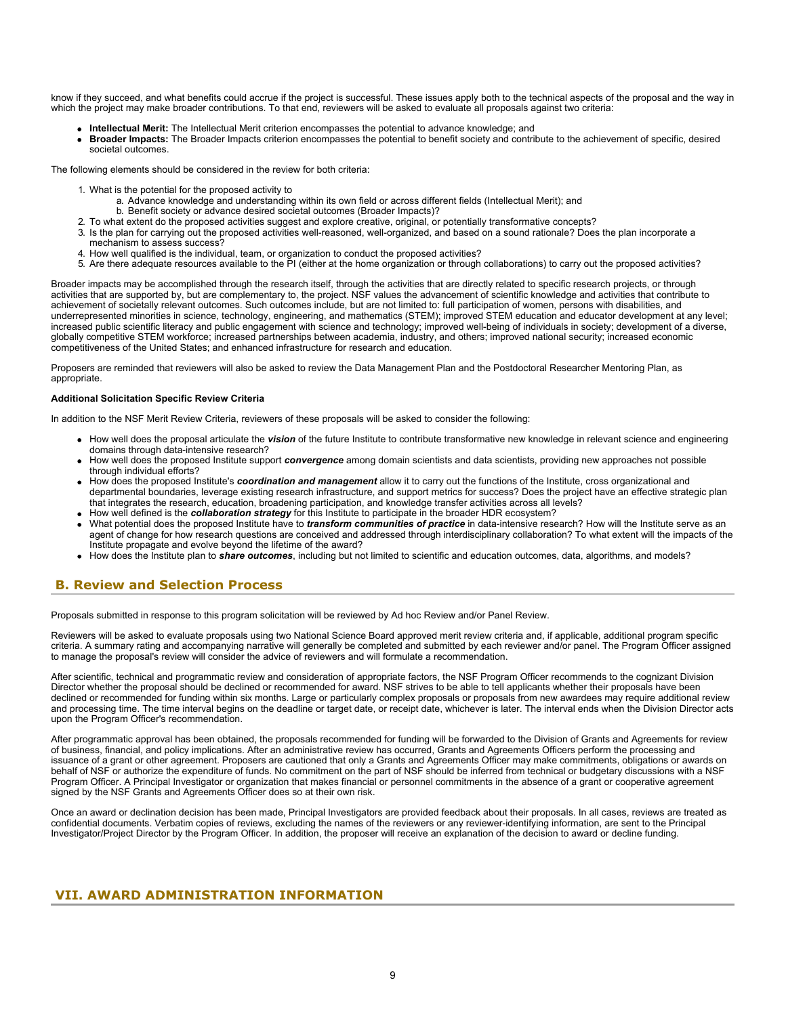know if they succeed, and what benefits could accrue if the project is successful. These issues apply both to the technical aspects of the proposal and the way in which the project may make broader contributions. To that end, reviewers will be asked to evaluate all proposals against two criteria:

- **Intellectual Merit:** The Intellectual Merit criterion encompasses the potential to advance knowledge; and
- **Broader Impacts:** The Broader Impacts criterion encompasses the potential to benefit society and contribute to the achievement of specific, desired societal outcomes.

The following elements should be considered in the review for both criteria:

- 1. What is the potential for the proposed activity to
	- a. Advance knowledge and understanding within its own field or across different fields (Intellectual Merit); and
	- b. Benefit society or advance desired societal outcomes (Broader Impacts)?
- 2. To what extent do the proposed activities suggest and explore creative, original, or potentially transformative concepts?
- 3. Is the plan for carrying out the proposed activities well-reasoned, well-organized, and based on a sound rationale? Does the plan incorporate a mechanism to assess success?
- 4. How well qualified is the individual, team, or organization to conduct the proposed activities?
- 5. Are there adequate resources available to the PI (either at the home organization or through collaborations) to carry out the proposed activities?

Broader impacts may be accomplished through the research itself, through the activities that are directly related to specific research projects, or through activities that are supported by, but are complementary to, the project. NSF values the advancement of scientific knowledge and activities that contribute to achievement of societally relevant outcomes. Such outcomes include, but are not limited to: full participation of women, persons with disabilities, and underrepresented minorities in science, technology, engineering, and mathematics (STEM); improved STEM education and educator development at any level; increased public scientific literacy and public engagement with science and technology; improved well-being of individuals in society; development of a diverse, globally competitive STEM workforce; increased partnerships between academia, industry, and others; improved national security; increased economic competitiveness of the United States; and enhanced infrastructure for research and education.

Proposers are reminded that reviewers will also be asked to review the Data Management Plan and the Postdoctoral Researcher Mentoring Plan, as appropriate.

#### **Additional Solicitation Specific Review Criteria**

In addition to the NSF Merit Review Criteria, reviewers of these proposals will be asked to consider the following:

- How well does the proposal articulate the *vision* of the future Institute to contribute transformative new knowledge in relevant science and engineering domains through data-intensive research?
- How well does the proposed Institute support *convergence* among domain scientists and data scientists, providing new approaches not possible through individual efforts?
- How does the proposed Institute's *coordination and management* allow it to carry out the functions of the Institute, cross organizational and departmental boundaries, leverage existing research infrastructure, and support metrics for success? Does the project have an effective strategic plan that integrates the research, education, broadening participation, and knowledge transfer activities across all levels?
- How well defined is the *collaboration strategy* for this Institute to participate in the broader HDR ecosystem?
- What potential does the proposed Institute have to *transform communities of practice* in data-intensive research? How will the Institute serve as an agent of change for how research questions are conceived and addressed through interdisciplinary collaboration? To what extent will the impacts of the Institute propagate and evolve beyond the lifetime of the award?
- How does the Institute plan to *share outcomes*, including but not limited to scientific and education outcomes, data, algorithms, and models?

### <span id="page-8-0"></span>**B. Review and Selection Process**

Proposals submitted in response to this program solicitation will be reviewed by Ad hoc Review and/or Panel Review.

Reviewers will be asked to evaluate proposals using two National Science Board approved merit review criteria and, if applicable, additional program specific criteria. A summary rating and accompanying narrative will generally be completed and submitted by each reviewer and/or panel. The Program Officer assigned to manage the proposal's review will consider the advice of reviewers and will formulate a recommendation.

After scientific, technical and programmatic review and consideration of appropriate factors, the NSF Program Officer recommends to the cognizant Division Director whether the proposal should be declined or recommended for award. NSF strives to be able to tell applicants whether their proposals have been declined or recommended for funding within six months. Large or particularly complex proposals or proposals from new awardees may require additional review and processing time. The time interval begins on the deadline or target date, or receipt date, whichever is later. The interval ends when the Division Director acts upon the Program Officer's recommendation.

After programmatic approval has been obtained, the proposals recommended for funding will be forwarded to the Division of Grants and Agreements for review of business, financial, and policy implications. After an administrative review has occurred, Grants and Agreements Officers perform the processing and issuance of a grant or other agreement. Proposers are cautioned that only a Grants and Agreements Officer may make commitments, obligations or awards on behalf of NSF or authorize the expenditure of funds. No commitment on the part of NSF should be inferred from technical or budgetary discussions with a NSF Program Officer. A Principal Investigator or organization that makes financial or personnel commitments in the absence of a grant or cooperative agreement signed by the NSF Grants and Agreements Officer does so at their own risk.

Once an award or declination decision has been made, Principal Investigators are provided feedback about their proposals. In all cases, reviews are treated as confidential documents. Verbatim copies of reviews, excluding the names of the reviewers or any reviewer-identifying information, are sent to the Principal Investigator/Project Director by the Program Officer. In addition, the proposer will receive an explanation of the decision to award or decline funding.

### <span id="page-8-1"></span>**VII. AWARD ADMINISTRATION INFORMATION**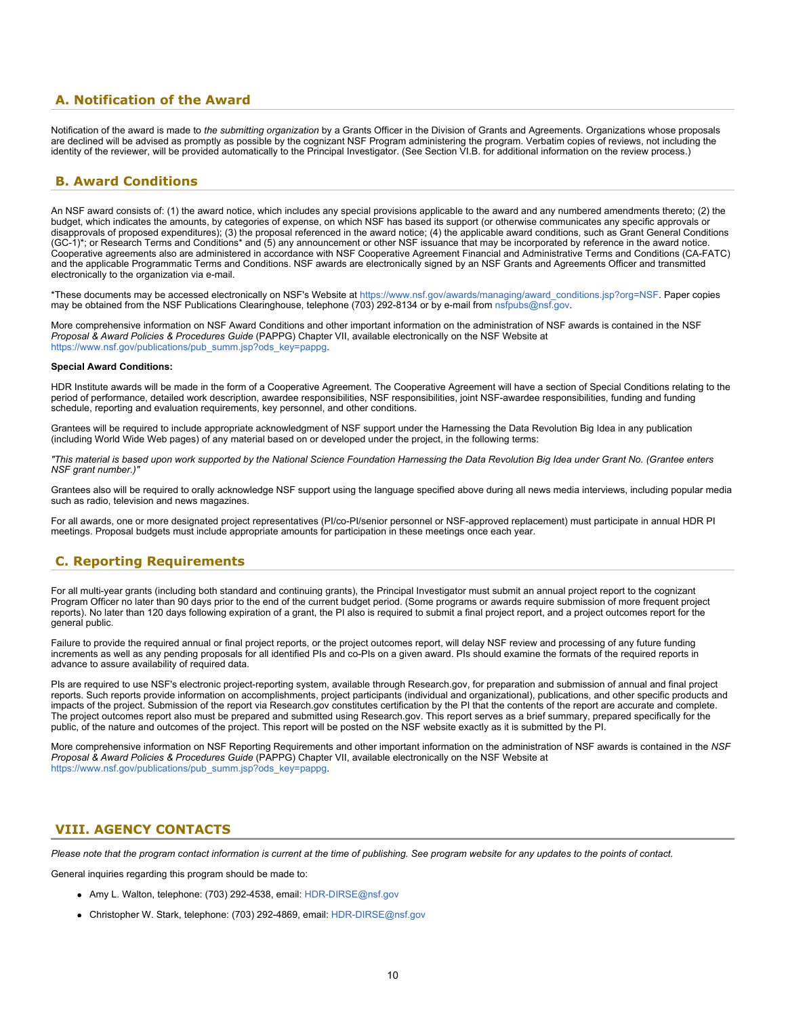### <span id="page-9-0"></span>**A. Notification of the Award**

Notification of the award is made to *the submitting organization* by a Grants Officer in the Division of Grants and Agreements. Organizations whose proposals are declined will be advised as promptly as possible by the cognizant NSF Program administering the program. Verbatim copies of reviews, not including the identity of the reviewer, will be provided automatically to the Principal Investigator. (See Section VI.B. for additional information on the review process.)

### <span id="page-9-1"></span>**B. Award Conditions**

An NSF award consists of: (1) the award notice, which includes any special provisions applicable to the award and any numbered amendments thereto; (2) the budget, which indicates the amounts, by categories of expense, on which NSF has based its support (or otherwise communicates any specific approvals or disapprovals of proposed expenditures); (3) the proposal referenced in the award notice; (4) the applicable award conditions, such as Grant General Conditions (GC-1)\*; or Research Terms and Conditions\* and (5) any announcement or other NSF issuance that may be incorporated by reference in the award notice. Cooperative agreements also are administered in accordance with NSF Cooperative Agreement Financial and Administrative Terms and Conditions (CA-FATC) and the applicable Programmatic Terms and Conditions. NSF awards are electronically signed by an NSF Grants and Agreements Officer and transmitted electronically to the organization via e-mail.

\*These documents may be accessed electronically on NSF's Website at [https://www.nsf.gov/awards/managing/award\\_conditions.jsp?org=NSF](https://www.nsf.gov/awards/managing/award_conditions.jsp?org=NSF). Paper copies may be obtained from the NSF Publications Clearinghouse, telephone (703) 292-8134 or by e-mail from [nsfpubs@nsf.gov.](mailto:nsfpubs@nsf.gov)

More comprehensive information on NSF Award Conditions and other important information on the administration of NSF awards is contained in the NSF *Proposal & Award Policies & Procedures Guide* (PAPPG) Chapter VII, available electronically on the NSF Website at [https://www.nsf.gov/publications/pub\\_summ.jsp?ods\\_key=pappg.](https://www.nsf.gov/publications/pub_summ.jsp?ods_key=pappg)

#### **Special Award Conditions:**

HDR Institute awards will be made in the form of a Cooperative Agreement. The Cooperative Agreement will have a section of Special Conditions relating to the period of performance, detailed work description, awardee responsibilities, NSF responsibilities, joint NSF-awardee responsibilities, funding and funding schedule, reporting and evaluation requirements, key personnel, and other conditions.

Grantees will be required to include appropriate acknowledgment of NSF support under the Harnessing the Data Revolution Big Idea in any publication (including World Wide Web pages) of any material based on or developed under the project, in the following terms:

*"This material is based upon work supported by the National Science Foundation Harnessing the Data Revolution Big Idea under Grant No. (Grantee enters NSF grant number.)"*

Grantees also will be required to orally acknowledge NSF support using the language specified above during all news media interviews, including popular media such as radio, television and news magazines.

For all awards, one or more designated project representatives (PI/co-PI/senior personnel or NSF-approved replacement) must participate in annual HDR PI meetings. Proposal budgets must include appropriate amounts for participation in these meetings once each year.

### <span id="page-9-2"></span>**C. Reporting Requirements**

For all multi-year grants (including both standard and continuing grants), the Principal Investigator must submit an annual project report to the cognizant Program Officer no later than 90 days prior to the end of the current budget period. (Some programs or awards require submission of more frequent project reports). No later than 120 days following expiration of a grant, the PI also is required to submit a final project report, and a project outcomes report for the general public.

Failure to provide the required annual or final project reports, or the project outcomes report, will delay NSF review and processing of any future funding increments as well as any pending proposals for all identified PIs and co-PIs on a given award. PIs should examine the formats of the required reports in advance to assure availability of required data.

PIs are required to use NSF's electronic project-reporting system, available through Research.gov, for preparation and submission of annual and final project reports. Such reports provide information on accomplishments, project participants (individual and organizational), publications, and other specific products and impacts of the project. Submission of the report via Research.gov constitutes certification by the PI that the contents of the report are accurate and complete. The project outcomes report also must be prepared and submitted using Research.gov. This report serves as a brief summary, prepared specifically for the public, of the nature and outcomes of the project. This report will be posted on the NSF website exactly as it is submitted by the PI.

More comprehensive information on NSF Reporting Requirements and other important information on the administration of NSF awards is contained in the *NSF Proposal & Award Policies & Procedures Guide* (PAPPG) Chapter VII, available electronically on the NSF Website at [https://www.nsf.gov/publications/pub\\_summ.jsp?ods\\_key=pappg.](https://www.nsf.gov/publications/pub_summ.jsp?ods_key=pappg)

### <span id="page-9-3"></span>**VIII. AGENCY CONTACTS**

*Please note that the program contact information is current at the time of publishing. See program website for any updates to the points of contact.*

General inquiries regarding this program should be made to:

- Amy L. Walton, telephone: (703) 292-4538, email: [HDR-DIRSE@nsf.gov](mailto:HDR-DIRSE@nsf.gov)
- Christopher W. Stark, telephone: (703) 292-4869, email: [HDR-DIRSE@nsf.gov](mailto:HDR-DIRSE@nsf.gov)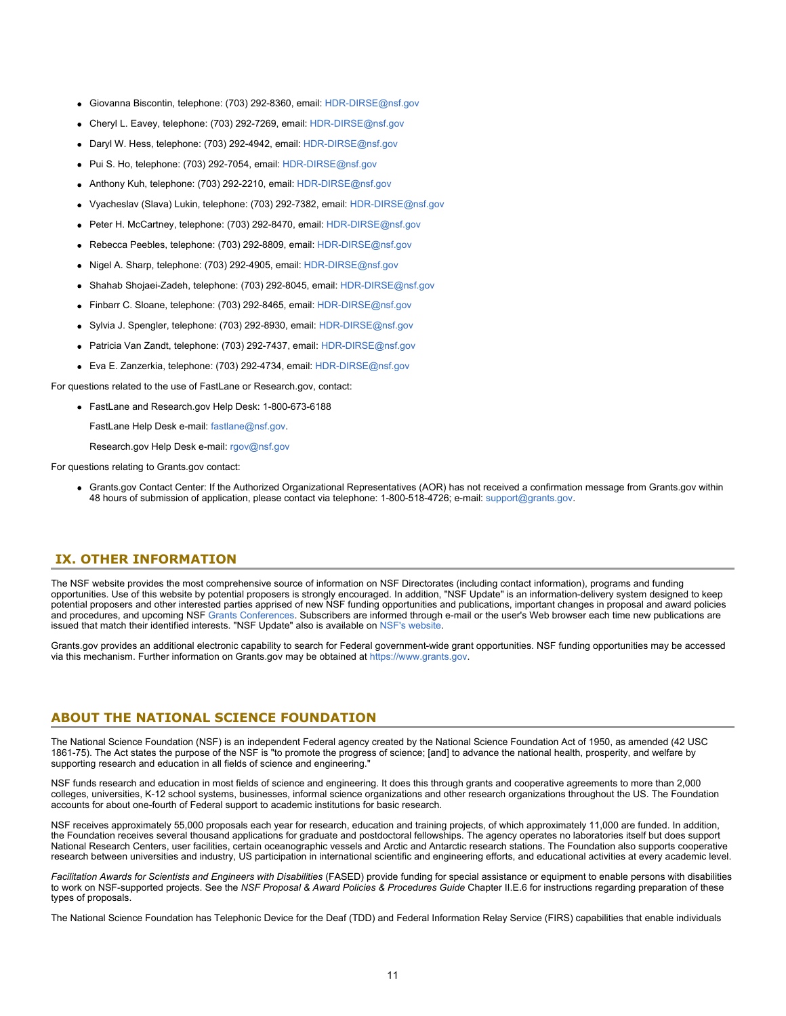- Giovanna Biscontin, telephone: (703) 292-8360, email: [HDR-DIRSE@nsf.gov](mailto:HDR-DIRSE@nsf.gov)
- Cheryl L. Eavey, telephone: (703) 292-7269, email: [HDR-DIRSE@nsf.gov](mailto:HDR-DIRSE@nsf.gov)
- Daryl W. Hess, telephone: (703) 292-4942, email: [HDR-DIRSE@nsf.gov](mailto:HDR-DIRSE@nsf.gov)
- Pui S. Ho, telephone: (703) 292-7054, email: [HDR-DIRSE@nsf.gov](mailto:HDR-DIRSE@nsf.gov)
- Anthony Kuh, telephone: (703) 292-2210, email: [HDR-DIRSE@nsf.gov](mailto:HDR-DIRSE@nsf.gov)
- Vyacheslav (Slava) Lukin, telephone: (703) 292-7382, email: [HDR-DIRSE@nsf.gov](mailto:HDR-DIRSE@nsf.gov)
- Peter H. McCartney, telephone: (703) 292-8470, email: [HDR-DIRSE@nsf.gov](mailto:HDR-DIRSE@nsf.gov)
- Rebecca Peebles, telephone: (703) 292-8809, email: [HDR-DIRSE@nsf.gov](mailto:HDR-DIRSE@nsf.gov)
- Nigel A. Sharp, telephone: (703) 292-4905, email: [HDR-DIRSE@nsf.gov](mailto:HDR-DIRSE@nsf.gov)
- Shahab Shojaei-Zadeh, telephone: (703) 292-8045, email: [HDR-DIRSE@nsf.gov](mailto:HDR-DIRSE@nsf.gov)
- Finbarr C. Sloane, telephone: (703) 292-8465, email: [HDR-DIRSE@nsf.gov](mailto:HDR-DIRSE@nsf.gov)
- Sylvia J. Spengler, telephone: (703) 292-8930, email: [HDR-DIRSE@nsf.gov](mailto:HDR-DIRSE@nsf.gov)
- Patricia Van Zandt, telephone: (703) 292-7437, email: [HDR-DIRSE@nsf.gov](mailto:HDR-DIRSE@nsf.gov)
- Eva E. Zanzerkia, telephone: (703) 292-4734, email: [HDR-DIRSE@nsf.gov](mailto:HDR-DIRSE@nsf.gov)

For questions related to the use of FastLane or Research.gov, contact:

FastLane and Research.gov Help Desk: 1-800-673-6188

FastLane Help Desk e-mail: [fastlane@nsf.gov](mailto:fastlane@nsf.gov).

Research.gov Help Desk e-mail: [rgov@nsf.gov](mailto:rgov@nsf.gov)

For questions relating to Grants.gov contact:

Grants.gov Contact Center: If the Authorized Organizational Representatives (AOR) has not received a confirmation message from Grants.gov within 48 hours of submission of application, please contact via telephone: 1-800-518-4726; e-mail: [support@grants.gov](mailto:support@grants.gov).

### <span id="page-10-0"></span>**IX. OTHER INFORMATION**

The NSF website provides the most comprehensive source of information on NSF Directorates (including contact information), programs and funding opportunities. Use of this website by potential proposers is strongly encouraged. In addition, "NSF Update" is an information-delivery system designed to keep potential proposers and other interested parties apprised of new NSF funding opportunities and publications, important changes in proposal and award policies and procedures, and upcoming NSF [Grants Conferences](https://www.nsf.gov/bfa/dias/policy/outreach.jsp). Subscribers are informed through e-mail or the user's Web browser each time new publications are issued that match their identified interests. "NSF Update" also is available on [NSF's website](https://www.nsf.gov/cgi-bin/goodbye?https://public.govdelivery.com/accounts/USNSF/subscriber/new?topic_id=USNSF_179).

Grants.gov provides an additional electronic capability to search for Federal government-wide grant opportunities. NSF funding opportunities may be accessed via this mechanism. Further information on Grants.gov may be obtained at [https://www.grants.gov](https://www.grants.gov/).

### **ABOUT THE NATIONAL SCIENCE FOUNDATION**

The National Science Foundation (NSF) is an independent Federal agency created by the National Science Foundation Act of 1950, as amended (42 USC 1861-75). The Act states the purpose of the NSF is "to promote the progress of science; [and] to advance the national health, prosperity, and welfare by supporting research and education in all fields of science and engineering."

NSF funds research and education in most fields of science and engineering. It does this through grants and cooperative agreements to more than 2,000 colleges, universities, K-12 school systems, businesses, informal science organizations and other research organizations throughout the US. The Foundation accounts for about one-fourth of Federal support to academic institutions for basic research.

NSF receives approximately 55,000 proposals each year for research, education and training projects, of which approximately 11,000 are funded. In addition, the Foundation receives several thousand applications for graduate and postdoctoral fellowships. The agency operates no laboratories itself but does support National Research Centers, user facilities, certain oceanographic vessels and Arctic and Antarctic research stations. The Foundation also supports cooperative research between universities and industry, US participation in international scientific and engineering efforts, and educational activities at every academic level.

*Facilitation Awards for Scientists and Engineers with Disabilities* (FASED) provide funding for special assistance or equipment to enable persons with disabilities to work on NSF-supported projects. See the *NSF Proposal & Award Policies & Procedures Guide* Chapter II.E.6 for instructions regarding preparation of these types of proposals.

The National Science Foundation has Telephonic Device for the Deaf (TDD) and Federal Information Relay Service (FIRS) capabilities that enable individuals